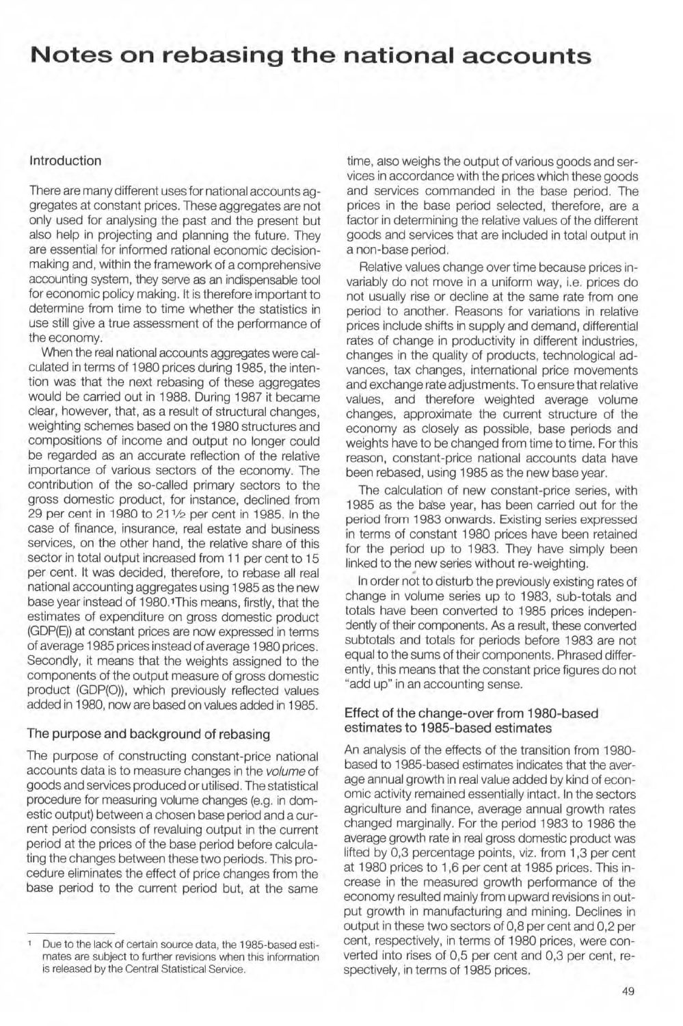# **Notes on rebasing the national accounts**

#### Introduction

There are many different uses for national accounts aggregates at constant prices. These aggregates are not only used for analysing the past and the present but also help in projecting and planning the future. They are essential for informed rational economic decisionmaking and, within the framework of a comprehensive accounting system, they serve as an indispensable tool for economic policy making. It is therefore important to determine from time to time whether the statistics in use still give a true assessment of the performance of the economy.

When the real national accounts aggregates were calculated in terms of 1980 prices during 1985, the intention was that the next rebasing of these aggregates would be carried out in 1988. During 1987 it became clear, however, that, as a result of structural changes, weighting schemes based on the 1980 structures and compositions of income and output no longer could be regarded as an accurate reflection of the relative importance of various sectors of the economy. The contribution of the so-called primary sectors to the gross domestic product, for instance, declined from 29 per cent in 1980 to 21'/2 per cent in 1985. In the case of finance, insurance, real estate and business services, on the other hand, the relative share of this sector in total output increased from 11 per cent to 15 per cent. It was decided, therefore, to rebase all real national accounting aggregates using 1985 as the new base year instead of 1980.'This means, firstly, that the estimates of expenditure on gross domestic product (GDP(E)) at constant prices are now expressed in terms of average 1985 prices instead of average 1980 prices. Secondly, it means that the weights assigned to the components of the output measure of gross domestic product (GDP(O)), which previously refiected values added in 1980, now are based on values added in 1985.

### The purpose and background of rebasing

The purpose of constructing constant-price national accounts data is to measure changes in the volume of goods and services produced or utilised. The statistical procedure for measuring volume changes (e.g. in domestic output) between a chosen base period and a current period consists of revaluing output in the current period at the prices of the base period before calculating the changes between these two periods. This procedure eliminates the effect of price changes from the base period to the current period but, at the same

time, also weighs the output of various goods and services in accordance with the prices which these goods and services commanded in the base period. The prices in the base period selected, therefore, are a factor in determining the relative values of the different goods and services that are included in total output in a non-base period.

Relative values change over time because prices invariably do not move in a uniform way, i.e. prices do not usually rise or decline at the same rate from one period to another. Reasons for variations in relative prices include shifts in supply and demand, differential rates of change in productivity in different industries, changes in the quality of products, technological advances, tax changes, international price movements and exchange rate adjustments. To ensure that relative values, and therefore weighted average volume changes, approximate the current structure of the econorny as closely as possible, base periods and weights have to be changed from time to time. For this reason, constant-price national accounts data have been rebased, using 1985 as the new base year.

The calculation of new constant -price series, with 1985 as the base year, has been carried out for the period from 1983 onwards. Existing series expressed in terms of constant 1980 prices have been retained for the period up to 1983. They have simply been linked to the new series without re-weighting. •

In order not to disturb the previously existing rates of change in volume series up to 1983, sub-totals and totals have been converted to 1985 prices indepen dently of their components. As a result, these converted subtotals and totals for periods before 1983 are not equal to the sums of their components. Phrased differently, this means that the constant price figures do not "add up" in an accounting sense.

## Effect of the change-over from 1980-based estimates to 1985-based estimates

An analysis of the effects of the transition from 1980 based to 1985-based estimates indicates that the average annual growth in real value added by kind of economic activity remained essentially intact. In the sectors agriculture and finance, average annual growth rates changed marginally. For the period 1983 to 1986 the average growth rate in real gross domestic product was lifted by 0,3 percentage points, viz. from 1,3 per cent at 1980 prices to 1,6 per cent at 1985 prices. This increase in the measured growth performance of the economy resulted mainly from upward revisions in output growth in manufacturing and mining. Declines in output in these two sectors of 0,8 per cent and 0,2 per cent, respectively, in terms of 1980 prices, were converted into rises of 0,5 per cent and 0,3 per cent, respectively, in terms of 1985 prices.

<sup>1</sup> Due to the lack of certain source data, the 1985-based estimates are subject to further revisions when this information is released by the Central Statistical Service.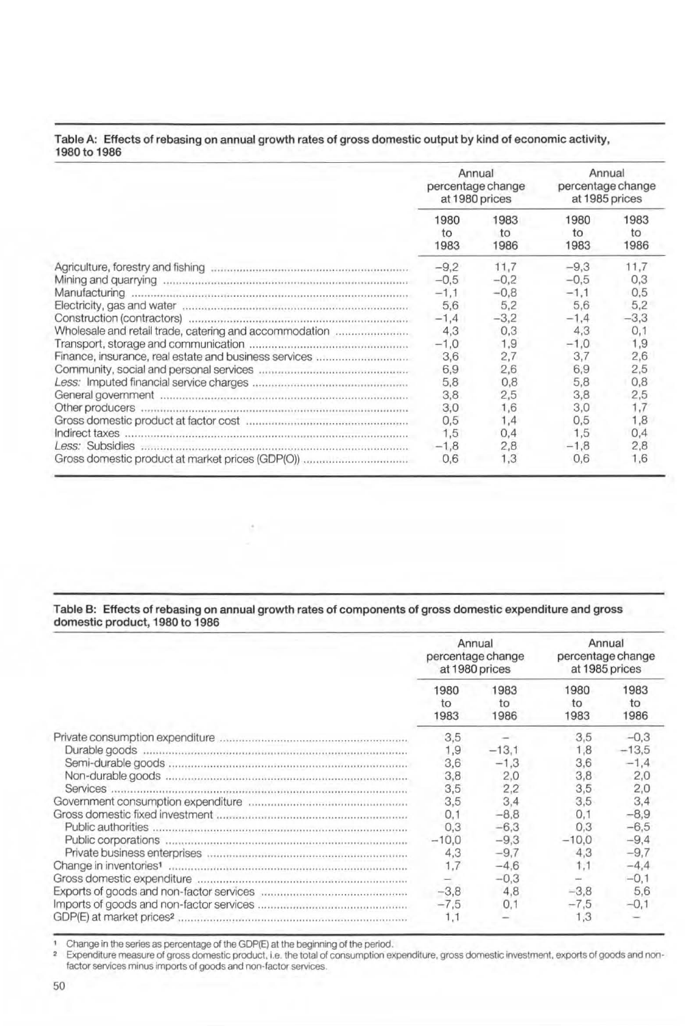|              | Table A: Effects of rebasing on annual growth rates of gross domestic output by kind of economic activity, |
|--------------|------------------------------------------------------------------------------------------------------------|
| 1980 to 1986 |                                                                                                            |

|                                                                                                                                                                                                                                | Annual<br>percentage change<br>at 1980 prices |                    | Annual<br>percentage change<br>at 1985 prices |                    |
|--------------------------------------------------------------------------------------------------------------------------------------------------------------------------------------------------------------------------------|-----------------------------------------------|--------------------|-----------------------------------------------|--------------------|
|                                                                                                                                                                                                                                | 1980<br>to<br>1983                            | 1983<br>to<br>1986 | 1980<br>to<br>1983                            | 1983<br>to<br>1986 |
|                                                                                                                                                                                                                                | $-9,2$                                        | 11.7               | $-9,3$                                        | 11,7               |
| Mining and quarrying consuming contained and an intervention of the Mining of Mining and Changes and Changes and Changes and Changes and Changes and Changes and Changes and Changes and Changes and Changes and Changes and C | $-0.5$                                        | $-0.2$             | $-0.5$                                        | 0,3                |
|                                                                                                                                                                                                                                | $-1.1$                                        | $-0.8$             | $-1,1$                                        | 0,5                |
|                                                                                                                                                                                                                                | 5,6                                           | 5,2                | 5,6                                           | 5,2                |
|                                                                                                                                                                                                                                | $-1,4$                                        | $-3,2$             | $-1,4$                                        | $-3,3$             |
| Wholesale and retail trade, catering and accommodation                                                                                                                                                                         | 4,3                                           | 0,3                | 4,3                                           | 0,1                |
|                                                                                                                                                                                                                                | $-1,0$                                        | 1,9                | $-1,0$                                        | 1,9                |
|                                                                                                                                                                                                                                | 3,6                                           | 2,7                | 3,7                                           | 2,6                |
|                                                                                                                                                                                                                                | 6,9                                           | 2,6                | 6,9                                           | 2,5                |
|                                                                                                                                                                                                                                | 5,8                                           | 0,8                | 5,8                                           | 0,8                |
|                                                                                                                                                                                                                                | 3,8                                           | 2,5                | 3,8                                           | 2,5                |
|                                                                                                                                                                                                                                | 3,0                                           | 1,6                | 3,0                                           | 1,7                |
|                                                                                                                                                                                                                                | 0,5                                           | 1,4                | 0,5                                           | 1,8                |
|                                                                                                                                                                                                                                | 1,5                                           | 0,4                | 1,5                                           | 0,4                |
|                                                                                                                                                                                                                                | $-1,8$                                        | 2,8                | $-1,8$                                        | 2,8                |
| Gross domestic product at market prices (GDP(O))                                                                                                                                                                               | 0,6                                           | 1,3                | 0,6                                           | 1,6                |

Table B: Effects of rebasing on annual growth rates of components of gross domestic expenditure and gross domestic product. 1980 to 1986

•

|  |                            | Annual<br>percentage change<br>at 1980 prices | Annual<br>percentage change<br>at 1985 prices |                                    |
|--|----------------------------|-----------------------------------------------|-----------------------------------------------|------------------------------------|
|  | 1980<br>to<br>1983         | 1983<br>to<br>1986                            | 1980<br>to<br>1983                            | 1983<br>to<br>1986                 |
|  |                            | $-13,1$<br>$-1,3$<br>2,0                      | 3,5<br>1,8<br>3,6<br>3,8                      | $-0.3$<br>$-13,5$<br>$-1.4$<br>2,0 |
|  | 3,8<br>3,5<br>3,5<br>0,1   | 2,2<br>3,4<br>$-8.8$                          | 3,5<br>3.5<br>0,1                             | 2,0<br>3,4<br>$-8,9$               |
|  | 0,3<br>$-10,0$             | $-6,3$<br>$-9,3$                              | 0,3<br>$-10.0$                                | $-6,5$<br>$-9,4$                   |
|  | 4,3<br>1,7                 | $-9,7$<br>$-4,6$<br>$-0,3$                    | 4,3<br>1,1                                    | $-9,7$<br>$-4,4$<br>$-0,1$         |
|  | $\frac{-}{-3,8}$<br>$-7,5$ | 4,8<br>0,1                                    | $-3,8$<br>$-7,5$                              | 5,6<br>$-0,1$                      |
|  | 1,1                        |                                               | 1,3                                           |                                    |

**1 Change in the series as percentage of the GDP(E) at the beginning of the period.** 

**2 Expenditure measure of gross domestic product. i.e. the total of consumption expenditure, gross domestic investment. exports of goods and nonfactor services mInus imports of goods and non-factor services**